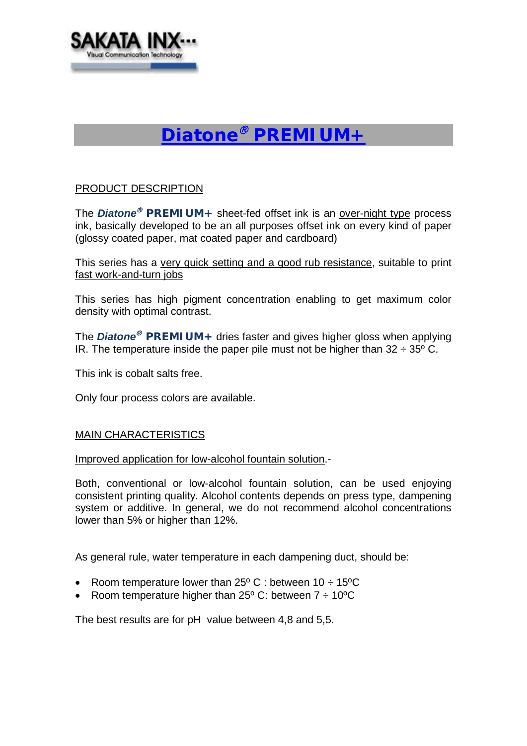

# *Diatone PREMIUM+*

### PRODUCT DESCRIPTION

The *Diatone<sup>®</sup> PREMIUM+* sheet-fed offset ink is an over-night type process ink, basically developed to be an all purposes offset ink on every kind of paper (glossy coated paper, mat coated paper and cardboard)

This series has a very quick setting and a good rub resistance, suitable to print fast work-and-turn jobs

This series has high pigment concentration enabling to get maximum color density with optimal contrast.

The *Diatone<sup>®</sup> PREMIUM+* dries faster and gives higher gloss when applying IR. The temperature inside the paper pile must not be higher than  $32 \div 35^{\circ}$  C.

This ink is cobalt salts free.

Only four process colors are available.

#### MAIN CHARACTERISTICS

Improved application for low-alcohol fountain solution.-

Both, conventional or low-alcohol fountain solution, can be used enjoying consistent printing quality. Alcohol contents depends on press type, dampening system or additive. In general, we do not recommend alcohol concentrations lower than 5% or higher than 12%.

As general rule, water temperature in each dampening duct, should be:

- Room temperature lower than  $25^{\circ}$  C : between 10  $\div$  15°C
- Room temperature higher than  $25^{\circ}$  C: between  $7 \div 10^{\circ}$ C

The best results are for pH value between 4,8 and 5,5.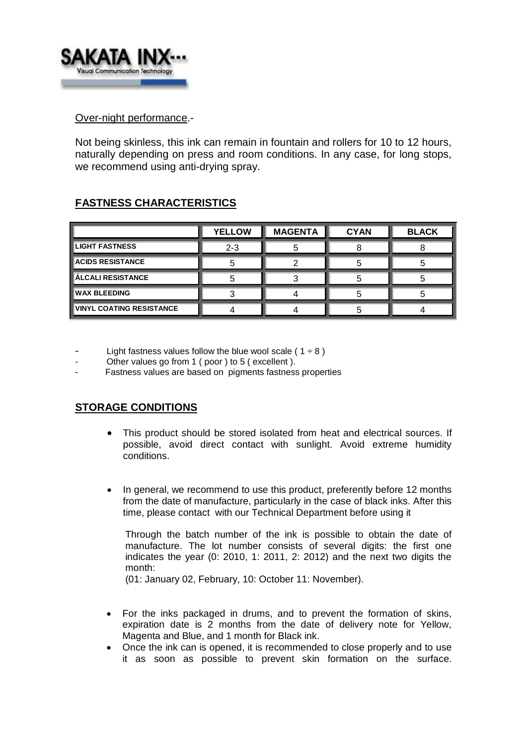

#### Over-night performance.-

Not being skinless, this ink can remain in fountain and rollers for 10 to 12 hours, naturally depending on press and room conditions. In any case, for long stops, we recommend using anti-drying spray.

# **FASTNESS CHARACTERISTICS**

|                                  | <b>YELLOW</b> | <b>MAGENTA</b> | <b>CYAN</b> | <b>BLACK</b> |
|----------------------------------|---------------|----------------|-------------|--------------|
| <b>LIGHT FASTNESS</b>            | $2 - 3$       |                |             |              |
| <b>ACIDS RESISTANCE</b>          |               |                |             |              |
| <b>ÁLCALI RESISTANCE</b>         |               |                |             |              |
| <b>IWAX BLEEDING</b>             |               |                |             |              |
| <b>IVINYL COATING RESISTANCE</b> |               |                |             |              |

- Light fastness values follow the blue wool scale (  $1 \div 8$  )
- Other values go from 1 ( poor ) to 5 ( excellent ).
- Fastness values are based on pigments fastness properties

## **STORAGE CONDITIONS**

- This product should be stored isolated from heat and electrical sources. If possible, avoid direct contact with sunlight. Avoid extreme humidity conditions.
- In general, we recommend to use this product, preferently before 12 months from the date of manufacture, particularly in the case of black inks. After this time, please contact with our Technical Department before using it

Through the batch number of the ink is possible to obtain the date of manufacture. The lot number consists of several digits: the first one indicates the year (0: 2010, 1: 2011, 2: 2012) and the next two digits the month:

(01: January 02, February, 10: October 11: November).

- For the inks packaged in drums, and to prevent the formation of skins, expiration date is 2 months from the date of delivery note for Yellow, Magenta and Blue, and 1 month for Black ink.
- Once the ink can is opened, it is recommended to close properly and to use it as soon as possible to prevent skin formation on the surface.